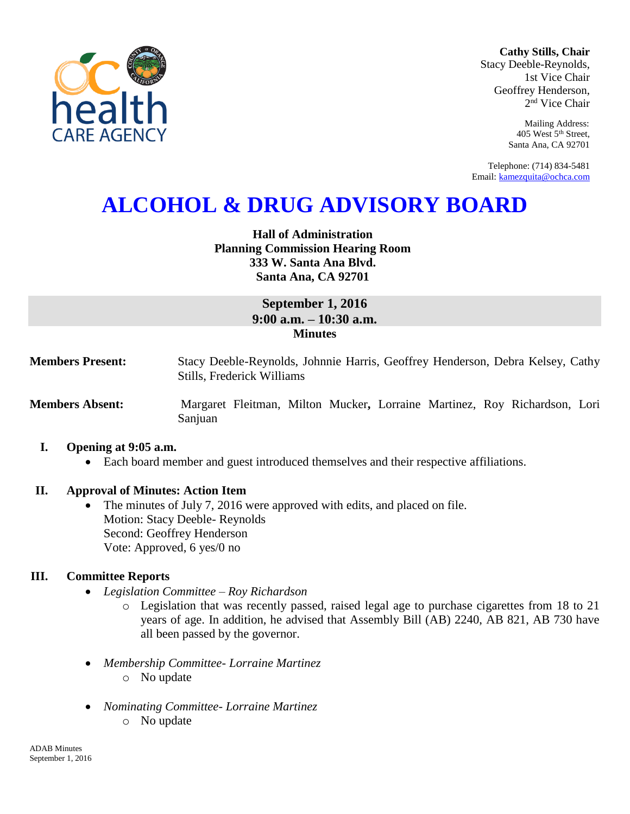

**Cathy Stills, Chair** Stacy Deeble-Reynolds, 1st Vice Chair Geoffrey Henderson, 2 nd Vice Chair

> Mailing Address: 405 West 5th Street, Santa Ana, CA 92701

Telephone: (714) 834-5481 Email: [kamezquita@ochca.com](mailto:kamezquita@ochca.com)

# **ALCOHOL & DRUG ADVISORY BOARD**

## **Hall of Administration Planning Commission Hearing Room 333 W. Santa Ana Blvd. Santa Ana, CA 92701**

## **September 1, 2016 9:00 a.m. – 10:30 a.m. Minutes**

**Members Present:** Stacy Deeble-Reynolds, Johnnie Harris, Geoffrey Henderson, Debra Kelsey, Cathy Stills, Frederick Williams

**Members Absent:** Margaret Fleitman, Milton Mucker**,** Lorraine Martinez, Roy Richardson, Lori Sanjuan

## **I. Opening at 9:05 a.m.**

Each board member and guest introduced themselves and their respective affiliations.

## **II. Approval of Minutes: Action Item**

 The minutes of July 7, 2016 were approved with edits, and placed on file. Motion: Stacy Deeble- Reynolds Second: Geoffrey Henderson Vote: Approved, 6 yes/0 no

## **III. Committee Reports**

- *Legislation Committee – Roy Richardson*
	- o Legislation that was recently passed, raised legal age to purchase cigarettes from 18 to 21 years of age. In addition, he advised that Assembly Bill (AB) 2240, AB 821, AB 730 have all been passed by the governor.
- *Membership Committee- Lorraine Martinez* o No update
- *Nominating Committee- Lorraine Martinez*
	- o No update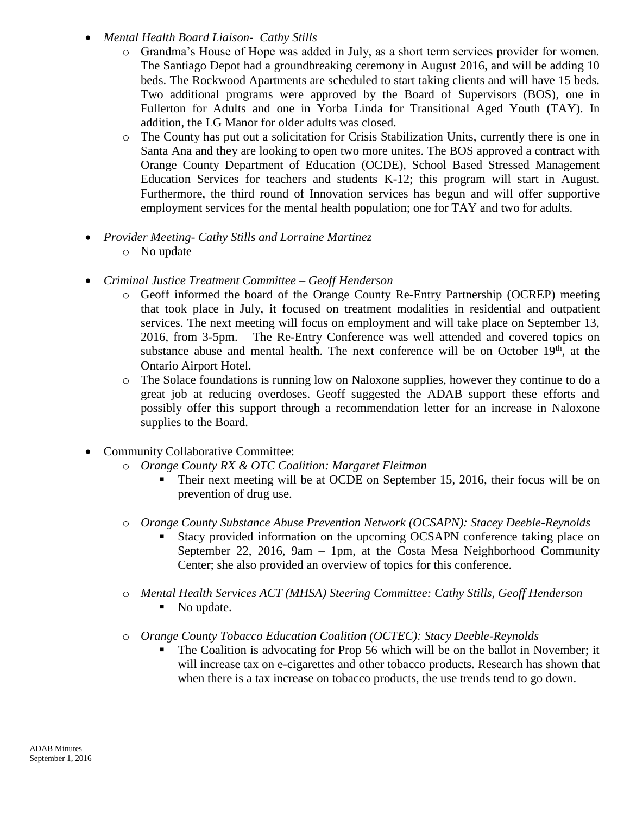- *Mental Health Board Liaison- Cathy Stills*
	- Grandma's House of Hope was added in July, as a short term services provider for women. The Santiago Depot had a groundbreaking ceremony in August 2016, and will be adding 10 beds. The Rockwood Apartments are scheduled to start taking clients and will have 15 beds. Two additional programs were approved by the Board of Supervisors (BOS), one in Fullerton for Adults and one in Yorba Linda for Transitional Aged Youth (TAY). In addition, the LG Manor for older adults was closed.
	- o The County has put out a solicitation for Crisis Stabilization Units, currently there is one in Santa Ana and they are looking to open two more unites. The BOS approved a contract with Orange County Department of Education (OCDE), School Based Stressed Management Education Services for teachers and students K-12; this program will start in August. Furthermore, the third round of Innovation services has begun and will offer supportive employment services for the mental health population; one for TAY and two for adults.
- *Provider Meeting- Cathy Stills and Lorraine Martinez*
	- o No update
- *Criminal Justice Treatment Committee – Geoff Henderson*
	- o Geoff informed the board of the Orange County Re-Entry Partnership (OCREP) meeting that took place in July, it focused on treatment modalities in residential and outpatient services. The next meeting will focus on employment and will take place on September 13, 2016, from 3-5pm. The Re-Entry Conference was well attended and covered topics on substance abuse and mental health. The next conference will be on October  $19<sup>th</sup>$ , at the Ontario Airport Hotel.
	- o The Solace foundations is running low on Naloxone supplies, however they continue to do a great job at reducing overdoses. Geoff suggested the ADAB support these efforts and possibly offer this support through a recommendation letter for an increase in Naloxone supplies to the Board.
- Community Collaborative Committee:
	- o *Orange County RX & OTC Coalition: Margaret Fleitman*
		- Their next meeting will be at OCDE on September 15, 2016, their focus will be on prevention of drug use.
	- o *Orange County Substance Abuse Prevention Network (OCSAPN): Stacey Deeble-Reynolds*
		- Stacy provided information on the upcoming OCSAPN conference taking place on September 22, 2016, 9am – 1pm, at the Costa Mesa Neighborhood Community Center; she also provided an overview of topics for this conference.
	- o *Mental Health Services ACT (MHSA) Steering Committee: Cathy Stills, Geoff Henderson* No update.
	- o *Orange County Tobacco Education Coalition (OCTEC): Stacy Deeble-Reynolds*
		- The Coalition is advocating for Prop 56 which will be on the ballot in November; it will increase tax on e-cigarettes and other tobacco products. Research has shown that when there is a tax increase on tobacco products, the use trends tend to go down.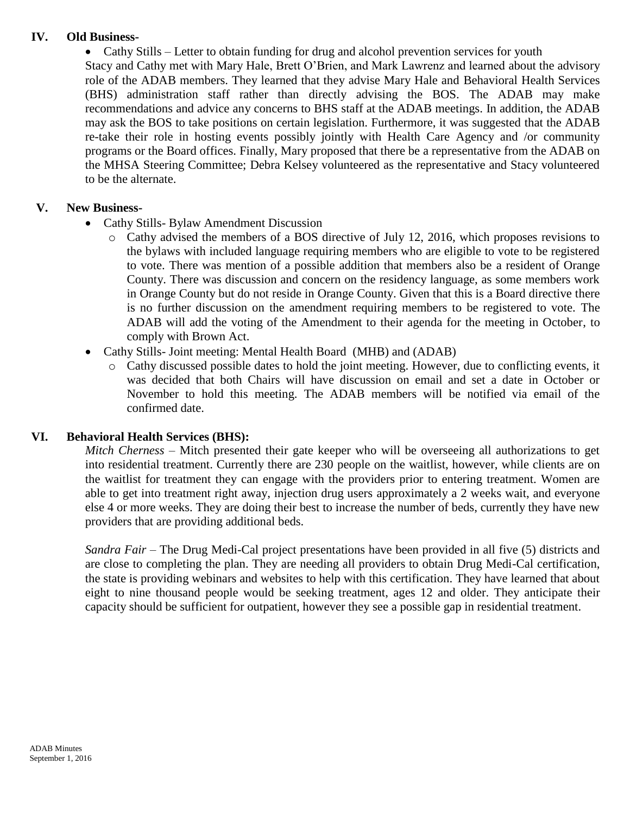## **IV. Old Business-**

• Cathy Stills – Letter to obtain funding for drug and alcohol prevention services for youth

Stacy and Cathy met with Mary Hale, Brett O'Brien, and Mark Lawrenz and learned about the advisory role of the ADAB members. They learned that they advise Mary Hale and Behavioral Health Services (BHS) administration staff rather than directly advising the BOS. The ADAB may make recommendations and advice any concerns to BHS staff at the ADAB meetings. In addition, the ADAB may ask the BOS to take positions on certain legislation. Furthermore, it was suggested that the ADAB re-take their role in hosting events possibly jointly with Health Care Agency and /or community programs or the Board offices. Finally, Mary proposed that there be a representative from the ADAB on the MHSA Steering Committee; Debra Kelsey volunteered as the representative and Stacy volunteered to be the alternate.

## **V. New Business-**

- Cathy Stills- Bylaw Amendment Discussion
	- o Cathy advised the members of a BOS directive of July 12, 2016, which proposes revisions to the bylaws with included language requiring members who are eligible to vote to be registered to vote. There was mention of a possible addition that members also be a resident of Orange County. There was discussion and concern on the residency language, as some members work in Orange County but do not reside in Orange County. Given that this is a Board directive there is no further discussion on the amendment requiring members to be registered to vote. The ADAB will add the voting of the Amendment to their agenda for the meeting in October, to comply with Brown Act.
- Cathy Stills- Joint meeting: Mental Health Board (MHB) and (ADAB)
	- Cathy discussed possible dates to hold the joint meeting. However, due to conflicting events, it was decided that both Chairs will have discussion on email and set a date in October or November to hold this meeting. The ADAB members will be notified via email of the confirmed date.

## **VI. Behavioral Health Services (BHS):**

*Mitch Cherness* – Mitch presented their gate keeper who will be overseeing all authorizations to get into residential treatment. Currently there are 230 people on the waitlist, however, while clients are on the waitlist for treatment they can engage with the providers prior to entering treatment. Women are able to get into treatment right away, injection drug users approximately a 2 weeks wait, and everyone else 4 or more weeks. They are doing their best to increase the number of beds, currently they have new providers that are providing additional beds.

*Sandra Fair* – The Drug Medi-Cal project presentations have been provided in all five (5) districts and are close to completing the plan. They are needing all providers to obtain Drug Medi-Cal certification, the state is providing webinars and websites to help with this certification. They have learned that about eight to nine thousand people would be seeking treatment, ages 12 and older. They anticipate their capacity should be sufficient for outpatient, however they see a possible gap in residential treatment.